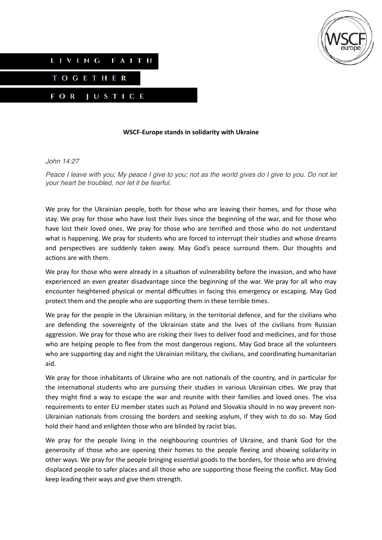



## **WSCF-Europe stands in solidarity with Ukraine**

## *John 14:27*

*Peace I leave with you; My peace I give to you; not as the world gives do I give to you. Do not let your heart be troubled, nor let it be fearful.*

We pray for the Ukrainian people, both for those who are leaving their homes, and for those who stay. We pray for those who have lost their lives since the beginning of the war, and for those who have lost their loved ones. We pray for those who are terrified and those who do not understand what is happening. We pray for students who are forced to interrupt their studies and whose dreams and perspectives are suddenly taken away. May God's peace surround them. Our thoughts and actions are with them.

We pray for those who were already in a situation of vulnerability before the invasion, and who have experienced an even greater disadvantage since the beginning of the war. We pray for all who may encounter heightened physical or mental difficulties in facing this emergency or escaping. May God protect them and the people who are supporting them in these terrible times.

We pray for the people in the Ukrainian military, in the territorial defence, and for the civilians who are defending the sovereignty of the Ukrainian state and the lives of the civilians from Russian aggression. We pray for those who are risking their lives to deliver food and medicines, and for those who are helping people to flee from the most dangerous regions. May God brace all the volunteers who are supporting day and night the Ukrainian military, the civilians, and coordinating humanitarian aid.

We pray for those inhabitants of Ukraine who are not nationals of the country, and in particular for the international students who are pursuing their studies in various Ukrainian cities. We pray that they might find a way to escape the war and reunite with their families and loved ones. The visa requirements to enter EU member states such as Poland and Slovakia should in no way prevent non-Ukrainian nationals from crossing the borders and seeking asylum, if they wish to do so. May God hold their hand and enlighten those who are blinded by racist bias.

We pray for the people living in the neighbouring countries of Ukraine, and thank God for the generosity of those who are opening their homes to the people fleeing and showing solidarity in other ways. We pray for the people bringing essential goods to the borders, for those who are driving displaced people to safer places and all those who are supporting those fleeing the conflict. May God keep leading their ways and give them strength.